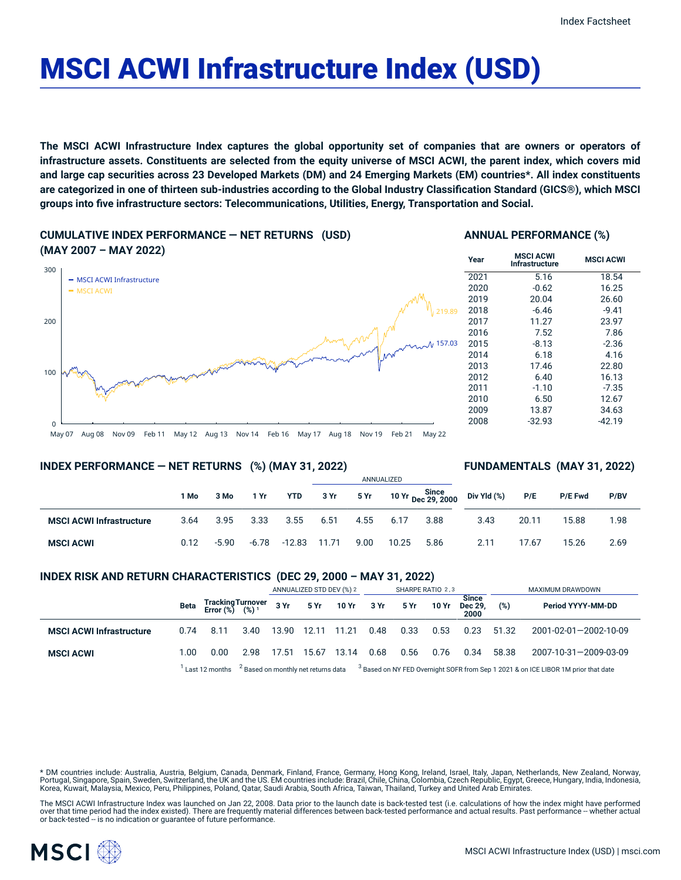# MSCI ACWI Infrastructure Index (USD)

The MSCI ACWI Infrastructure Index captures the global opportunity set of companies that are owners or operators of infrastructure assets. Constituents are selected from the equity universe of MSCI ACWI, the parent index, which covers mid and large cap securities across 23 Developed Markets (DM) and 24 Emerging Markets (EM) countries\*. All index constituents are categorized in one of thirteen sub-industries according to the Global Industry Classification Standard (GICS®), which MSCI **groups into five infrastructure sectors: Telecommunications, Utilities, Energy, Transportation and Social.**

**CUMULATIVE INDEX PERFORMANCE — NET RETURNS (USD) (MAY 2007 – MAY 2022)**

#### **ANNUAL PERFORMANCE (%)**



#### **INDEX PERFORMANCE — NET RETURNS (%) (MAY 31, 2022)**

#### **FUNDAMENTALS (MAY 31, 2022)**

|                                 |      |         |       |            | ANNUALIZED |           |       |                             |             |       |         |      |
|---------------------------------|------|---------|-------|------------|------------|-----------|-------|-----------------------------|-------------|-------|---------|------|
|                                 | 1 Mo | 3 Mo    | 1 Yr  | <b>YTD</b> | 3 Yr       | 5 Yr 1991 |       | 10 Yr Since<br>Dec 29, 2000 | Div Yld (%) | P/E   | P/E Fwd | P/BV |
| <b>MSCI ACWI Infrastructure</b> | 3.64 | 3.95    | 3.33  | 3.55       | 6.51       | 4.55      | 6.17  | 3.88                        | 3.43        | 20.11 | 15.88   | 1.98 |
| <b>MSCI ACWI</b>                | 0.12 | $-5.90$ | -6.78 | -12.83     | 11.71      | 9.00      | 10.25 | 5.86                        | 2.11        | 17.67 | 15.26   | 2.69 |

#### **INDEX RISK AND RETURN CHARACTERISTICS (DEC 29, 2000 – MAY 31, 2022)**

|                                 |      |                                                                                                                                                                   |      | ANNUALIZED STD DEV (%) 2 |       |       | SHARPE RATIO 2,3 |      |       |                                 | MAXIMUM DRAWDOWN |                       |  |
|---------------------------------|------|-------------------------------------------------------------------------------------------------------------------------------------------------------------------|------|--------------------------|-------|-------|------------------|------|-------|---------------------------------|------------------|-----------------------|--|
|                                 | Beta | Tracking Turnover<br>Error (%) (%) <sup>1</sup>                                                                                                                   |      | 3 Yr                     | 5 Yr  | 10 Yr | 3 Yr             | 5 Yr | 10 Yr | <b>Since</b><br>Dec 29.<br>2000 | (%)              | Period YYYY-MM-DD     |  |
| <b>MSCI ACWI Infrastructure</b> | 0.74 | 8.11                                                                                                                                                              | 3.40 | 13.90                    | 12.11 | 11.21 | 0.48             | 0.33 | 0.53  | 0.23                            | 51.32            | 2001-02-01-2002-10-09 |  |
| <b>MSCI ACWI</b>                | 1.00 | 0.00                                                                                                                                                              | 2.98 | 17.51                    | 15.67 | 13.14 | 0.68             | 0.56 | 0.76  | 0.34                            | 58.38            | 2007-10-31-2009-03-09 |  |
|                                 |      | <sup>3</sup> Based on NY FED Overnight SOFR from Sep 1 2021 & on ICE LIBOR 1M prior that date<br><sup>2</sup> Based on monthly net returns data<br>Last 12 months |      |                          |       |       |                  |      |       |                                 |                  |                       |  |

\* DM countries include: Australia, Austria, Belgium, Canada, Denmark, Finland, France, Germany, Hong Kong, Ireland, Israel, Italy, Japan, Netherlands, New Zealand, Norway, Portugal, Singapore, Spain, Sweden, Switzerland, the UK and the US. EM countries include: Brazil, Chile, China, Colombia, Czech Republic, Egypt, Greece, Hungary, India, Indonesia, Korea, Kuwait, Malaysia, Mexico, Peru, Philippines, Poland, Qatar, Saudi Arabia, South Africa, Taiwan, Thailand, Turkey and United Arab Emirates.

The MSCI ACWI Infrastructure Index was launched on Jan 22, 2008. Data prior to the launch date is back-tested test (i.e. calculations of how the index might have performed over that time period had the index existed). There are frequently material differences between back-tested performance and actual results. Past performance -- whether actual or back-tested -- is no indication or guarantee of future performance.



 $\Omega$ 

100

200

300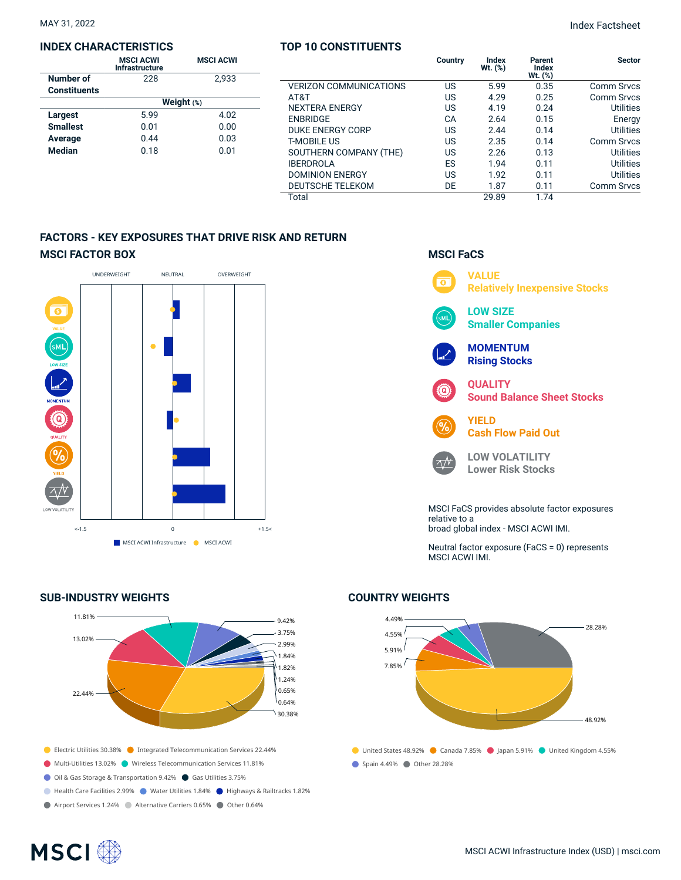#### **INDEX CHARACTERISTICS**

|                     | <b>MSCI ACWI</b><br>Infrastructure | <b>MSCI ACWI</b> |  |  |  |  |  |
|---------------------|------------------------------------|------------------|--|--|--|--|--|
| Number of           | 228                                | 2,933            |  |  |  |  |  |
| <b>Constituents</b> |                                    |                  |  |  |  |  |  |
|                     | Weight $(*)$                       |                  |  |  |  |  |  |
| Largest             | 5.99                               | 4.02             |  |  |  |  |  |
| <b>Smallest</b>     | 0.01                               | 0.00             |  |  |  |  |  |
| Average             | 0.44                               | 0.03             |  |  |  |  |  |
| <b>Median</b>       | 0.18                               | 0.01             |  |  |  |  |  |

#### **TOP 10 CONSTITUENTS**

| MAY 31, 2022 | <b>Index Factsheet</b> |
|--------------|------------------------|
|              |                        |

|                               | Country | <b>Index</b><br>$Wt.$ $(\%)$ | Parent<br>Index<br>$Wt.$ $(\%)$ | <b>Sector</b>     |
|-------------------------------|---------|------------------------------|---------------------------------|-------------------|
| <b>VERIZON COMMUNICATIONS</b> | US      | 5.99                         | 0.35                            | <b>Comm Srvcs</b> |
| AT&T                          | US      | 4.29                         | 0.25                            | <b>Comm Srvcs</b> |
| <b>NEXTERA ENERGY</b>         | US      | 4.19                         | 0.24                            | <b>Utilities</b>  |
| <b>ENBRIDGE</b>               | CA      | 2.64                         | 0.15                            | Energy            |
| <b>DUKE ENERGY CORP</b>       | US      | 2.44                         | 0.14                            | Utilities         |
| <b>T-MOBILE US</b>            | US      | 2.35                         | 0.14                            | Comm Srvcs        |
| SOUTHERN COMPANY (THE)        | US      | 2.26                         | 0.13                            | <b>Utilities</b>  |
| <b>IBERDROLA</b>              | ES      | 1.94                         | 0.11                            | <b>Utilities</b>  |
| <b>DOMINION ENERGY</b>        | US      | 1.92                         | 0.11                            | Utilities         |
| <b>DEUTSCHE TELEKOM</b>       | DE      | 1.87                         | 0.11                            | <b>Comm Srvcs</b> |
| Total                         |         | 29.89                        | 1.74                            |                   |

#### **FACTORS - KEY EXPOSURES THAT DRIVE RISK AND RETURN MSCI FACTOR BOX**



#### **SUB-INDUSTRY WEIGHTS**



### **MSCI FaCS**



broad global index - MSCI ACWI IMI.

Neutral factor exposure (FaCS = 0) represents MSCI ACWI IMI.

#### **COUNTRY WEIGHTS**



## **MSCI**<sup>®</sup>